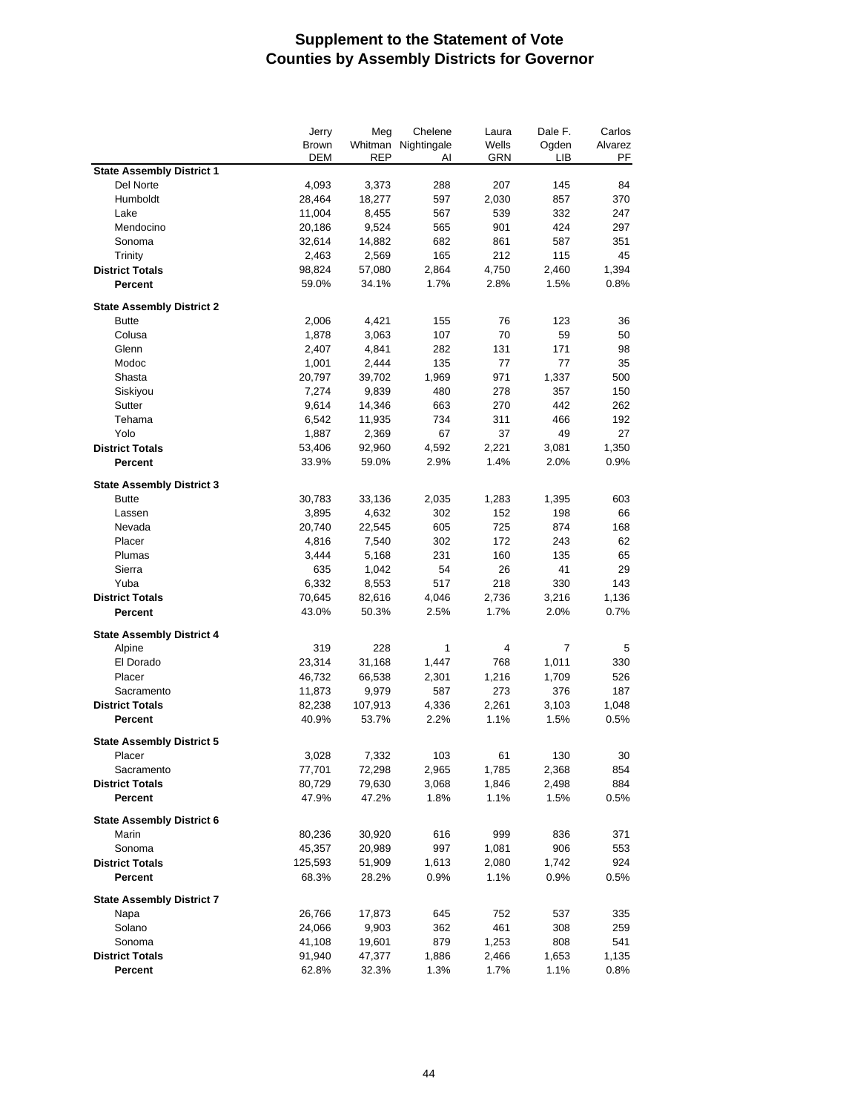|                                  | Jerry   | Meg        | Chelene             | Laura | Dale F.        | Carlos  |
|----------------------------------|---------|------------|---------------------|-------|----------------|---------|
|                                  | Brown   |            | Whitman Nightingale | Wells | Ogden          | Alvarez |
|                                  | DEM     | <b>REP</b> | AI                  | GRN   | LІВ            | PF      |
| <b>State Assembly District 1</b> |         |            |                     |       |                |         |
| Del Norte                        | 4,093   | 3,373      | 288                 | 207   | 145            | 84      |
| Humboldt                         | 28,464  | 18,277     | 597                 | 2,030 | 857            | 370     |
| Lake                             | 11,004  | 8,455      | 567                 | 539   | 332            | 247     |
| Mendocino                        | 20,186  | 9,524      | 565                 | 901   | 424            | 297     |
| Sonoma                           | 32,614  | 14,882     | 682                 | 861   | 587            | 351     |
| Trinity                          | 2,463   | 2,569      | 165                 | 212   | 115            | 45      |
| <b>District Totals</b>           | 98,824  | 57,080     | 2,864               | 4,750 | 2,460          | 1,394   |
| <b>Percent</b>                   | 59.0%   | 34.1%      | 1.7%                | 2.8%  | 1.5%           | 0.8%    |
|                                  |         |            |                     |       |                |         |
| <b>State Assembly District 2</b> |         |            |                     |       |                |         |
| <b>Butte</b>                     | 2,006   | 4,421      | 155                 | 76    | 123            | 36      |
| Colusa                           | 1,878   | 3,063      | 107                 | 70    | 59             | 50      |
| Glenn                            | 2,407   | 4,841      | 282                 | 131   | 171            | 98      |
| Modoc                            | 1,001   | 2,444      | 135                 | 77    | 77             | 35      |
| Shasta                           | 20,797  | 39,702     | 1,969               | 971   | 1,337          | 500     |
| Siskiyou                         | 7,274   | 9,839      | 480                 | 278   | 357            | 150     |
| Sutter                           | 9,614   | 14,346     | 663                 | 270   | 442            | 262     |
| Tehama                           | 6,542   | 11,935     | 734                 | 311   | 466            | 192     |
| Yolo                             | 1,887   | 2,369      | 67                  | 37    | 49             | 27      |
| <b>District Totals</b>           | 53,406  | 92,960     | 4,592               | 2,221 | 3,081          | 1,350   |
| Percent                          | 33.9%   | 59.0%      | 2.9%                | 1.4%  | 2.0%           | 0.9%    |
|                                  |         |            |                     |       |                |         |
| <b>State Assembly District 3</b> |         |            |                     |       |                |         |
| <b>Butte</b>                     | 30,783  | 33,136     | 2,035               | 1,283 | 1,395          | 603     |
| Lassen                           | 3,895   | 4,632      | 302                 | 152   | 198            | 66      |
| Nevada                           | 20,740  | 22,545     | 605                 | 725   | 874            | 168     |
| Placer                           | 4,816   | 7,540      | 302                 | 172   | 243            | 62      |
| Plumas                           | 3,444   | 5,168      | 231                 | 160   | 135            | 65      |
| Sierra                           | 635     | 1,042      | 54                  | 26    | 41             | 29      |
| Yuba                             | 6,332   | 8,553      | 517                 | 218   | 330            | 143     |
| <b>District Totals</b>           | 70,645  | 82,616     | 4,046               | 2,736 | 3,216          | 1,136   |
| <b>Percent</b>                   | 43.0%   | 50.3%      | 2.5%                | 1.7%  | 2.0%           | 0.7%    |
|                                  |         |            |                     |       |                |         |
| <b>State Assembly District 4</b> |         |            |                     |       |                |         |
| Alpine                           | 319     | 228        | 1                   | 4     | $\overline{7}$ | 5       |
| El Dorado                        | 23,314  | 31,168     | 1,447               | 768   | 1,011          | 330     |
| Placer                           | 46,732  | 66,538     | 2,301               | 1,216 | 1,709          | 526     |
| Sacramento                       | 11,873  | 9,979      | 587                 | 273   | 376            | 187     |
| <b>District Totals</b>           | 82,238  | 107,913    | 4,336               | 2,261 | 3,103          | 1,048   |
| Percent                          | 40.9%   | 53.7%      | 2.2%                | 1.1%  | 1.5%           | 0.5%    |
|                                  |         |            |                     |       |                |         |
| <b>State Assembly District 5</b> |         |            |                     |       |                |         |
| Placer                           | 3,028   | 7,332      | 103                 | 61    | 130            | 30      |
| Sacramento                       | 77,701  | 72,298     | 2,965               | 1,785 | 2,368          | 854     |
| <b>District Totals</b>           | 80,729  | 79,630     | 3,068               | 1,846 | 2,498          | 884     |
| Percent                          | 47.9%   | 47.2%      | 1.8%                | 1.1%  | 1.5%           | 0.5%    |
|                                  |         |            |                     |       |                |         |
| <b>State Assembly District 6</b> |         |            |                     |       |                |         |
| Marin                            | 80,236  | 30,920     | 616                 | 999   | 836            | 371     |
| Sonoma                           | 45,357  | 20,989     | 997                 | 1,081 | 906            | 553     |
| <b>District Totals</b>           | 125,593 | 51,909     | 1,613               | 2,080 | 1,742          | 924     |
| Percent                          | 68.3%   | 28.2%      | 0.9%                | 1.1%  | 0.9%           | 0.5%    |
|                                  |         |            |                     |       |                |         |
| <b>State Assembly District 7</b> |         |            |                     |       |                |         |
| Napa                             | 26,766  | 17,873     | 645                 | 752   | 537            | 335     |
| Solano                           | 24,066  | 9,903      | 362                 | 461   | 308            | 259     |
| Sonoma                           | 41,108  | 19,601     | 879                 | 1,253 | 808            | 541     |
| <b>District Totals</b>           | 91,940  | 47,377     | 1,886               | 2,466 | 1,653          | 1,135   |
| <b>Percent</b>                   | 62.8%   | 32.3%      | 1.3%                | 1.7%  | 1.1%           | 0.8%    |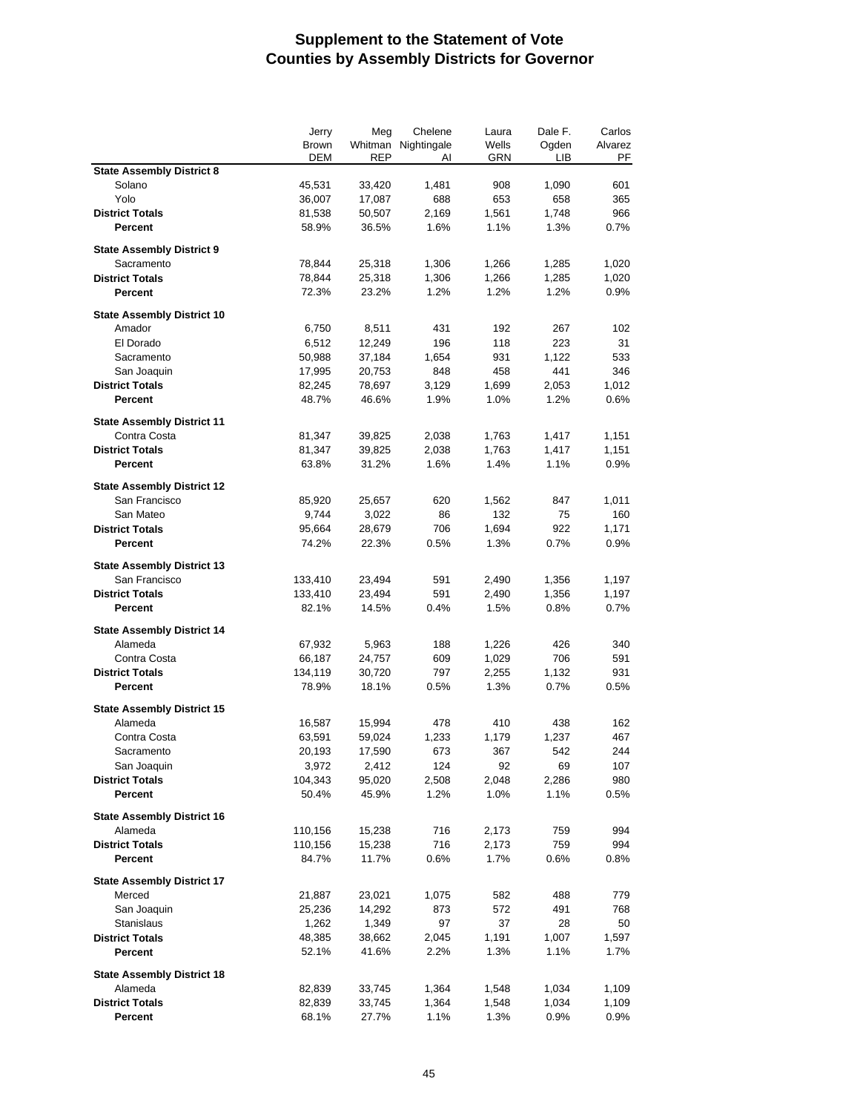|                                                   | Jerry        | Meg        | Chelene             | Laura      | Dale F. | Carlos  |
|---------------------------------------------------|--------------|------------|---------------------|------------|---------|---------|
|                                                   | <b>Brown</b> |            | Whitman Nightingale | Wells      | Ogden   | Alvarez |
|                                                   | DEM          | <b>REP</b> | AI                  | <b>GRN</b> | LІВ     | PF      |
| <b>State Assembly District 8</b>                  |              |            |                     |            |         |         |
| Solano                                            | 45,531       | 33,420     | 1,481               | 908        | 1,090   | 601     |
| Yolo                                              | 36,007       | 17,087     | 688                 | 653        | 658     | 365     |
| <b>District Totals</b>                            | 81,538       | 50,507     | 2,169               | 1,561      | 1,748   | 966     |
| Percent                                           | 58.9%        | 36.5%      | 1.6%                | 1.1%       | 1.3%    | 0.7%    |
| <b>State Assembly District 9</b>                  |              |            |                     |            |         |         |
| Sacramento                                        | 78,844       | 25,318     | 1,306               | 1,266      | 1,285   | 1,020   |
| <b>District Totals</b>                            | 78,844       | 25,318     | 1,306               | 1,266      | 1,285   | 1,020   |
| <b>Percent</b>                                    | 72.3%        | 23.2%      | 1.2%                | 1.2%       | 1.2%    | 0.9%    |
|                                                   |              |            |                     |            |         |         |
| <b>State Assembly District 10</b>                 |              |            |                     |            |         |         |
| Amador                                            | 6,750        | 8,511      | 431                 | 192        | 267     | 102     |
| El Dorado                                         | 6,512        | 12,249     | 196                 | 118        | 223     | 31      |
| Sacramento                                        | 50,988       | 37,184     | 1,654               | 931        | 1,122   | 533     |
| San Joaquin                                       | 17,995       | 20,753     | 848                 | 458        | 441     | 346     |
| <b>District Totals</b>                            | 82,245       | 78,697     | 3,129               | 1,699      | 2,053   | 1,012   |
| <b>Percent</b>                                    | 48.7%        | 46.6%      | 1.9%                | 1.0%       | 1.2%    | 0.6%    |
|                                                   |              |            |                     |            |         |         |
| <b>State Assembly District 11</b><br>Contra Costa |              | 39,825     | 2,038               |            |         |         |
| <b>District Totals</b>                            | 81,347       |            |                     | 1,763      | 1,417   | 1,151   |
|                                                   | 81,347       | 39,825     | 2,038               | 1,763      | 1,417   | 1,151   |
| Percent                                           | 63.8%        | 31.2%      | 1.6%                | 1.4%       | 1.1%    | 0.9%    |
| <b>State Assembly District 12</b>                 |              |            |                     |            |         |         |
| San Francisco                                     | 85,920       | 25,657     | 620                 | 1,562      | 847     | 1,011   |
| San Mateo                                         | 9,744        | 3,022      | 86                  | 132        | 75      | 160     |
| <b>District Totals</b>                            | 95,664       | 28,679     | 706                 | 1,694      | 922     | 1,171   |
| <b>Percent</b>                                    | 74.2%        | 22.3%      | 0.5%                | 1.3%       | 0.7%    | 0.9%    |
|                                                   |              |            |                     |            |         |         |
| <b>State Assembly District 13</b>                 |              |            |                     |            |         |         |
| San Francisco                                     | 133,410      | 23,494     | 591                 | 2,490      | 1,356   | 1,197   |
| <b>District Totals</b>                            | 133,410      | 23,494     | 591                 | 2,490      | 1,356   | 1,197   |
| <b>Percent</b>                                    | 82.1%        | 14.5%      | 0.4%                | 1.5%       | 0.8%    | 0.7%    |
| <b>State Assembly District 14</b>                 |              |            |                     |            |         |         |
| Alameda                                           | 67,932       | 5,963      | 188                 | 1,226      | 426     | 340     |
| Contra Costa                                      | 66,187       | 24,757     | 609                 | 1,029      | 706     | 591     |
| <b>District Totals</b>                            | 134,119      | 30,720     | 797                 | 2,255      | 1,132   | 931     |
| Percent                                           | 78.9%        | 18.1%      | 0.5%                | 1.3%       | 0.7%    | 0.5%    |
|                                                   |              |            |                     |            |         |         |
| <b>State Assembly District 15</b>                 |              |            |                     |            |         |         |
| Alameda                                           | 16,587       | 15,994     | 478                 | 410        | 438     | 162     |
| Contra Costa                                      | 63,591       | 59,024     | 1,233               | 1,179      | 1,237   | 467     |
| Sacramento                                        | 20,193       | 17,590     | 673                 | 367        | 542     | 244     |
| San Joaquin                                       | 3,972        | 2,412      | 124                 | 92         | 69      | 107     |
| <b>District Totals</b>                            | 104,343      | 95,020     | 2,508               | 2,048      | 2,286   | 980     |
| Percent                                           | 50.4%        | 45.9%      | 1.2%                | 1.0%       | 1.1%    | 0.5%    |
|                                                   |              |            |                     |            |         |         |
| <b>State Assembly District 16</b>                 |              |            |                     |            |         |         |
| Alameda                                           | 110,156      | 15,238     | 716                 | 2,173      | 759     | 994     |
| <b>District Totals</b>                            | 110,156      | 15,238     | 716                 | 2,173      | 759     | 994     |
| Percent                                           | 84.7%        | 11.7%      | 0.6%                | 1.7%       | 0.6%    | $0.8\%$ |
| <b>State Assembly District 17</b>                 |              |            |                     |            |         |         |
| Merced                                            | 21,887       | 23,021     | 1,075               | 582        | 488     | 779     |
| San Joaquin                                       | 25,236       | 14,292     | 873                 | 572        | 491     | 768     |
| <b>Stanislaus</b>                                 | 1,262        | 1,349      | 97                  | 37         | 28      | 50      |
| <b>District Totals</b>                            | 48,385       | 38,662     | 2,045               | 1,191      | 1,007   | 1,597   |
| Percent                                           | 52.1%        | 41.6%      | 2.2%                | 1.3%       | 1.1%    | 1.7%    |
|                                                   |              |            |                     |            |         |         |
| <b>State Assembly District 18</b>                 |              |            |                     |            |         |         |
| Alameda                                           | 82,839       | 33,745     | 1,364               | 1,548      | 1,034   | 1,109   |
| <b>District Totals</b>                            | 82,839       | 33,745     | 1,364               | 1,548      | 1,034   | 1,109   |
| Percent                                           | 68.1%        | 27.7%      | 1.1%                | 1.3%       | 0.9%    | 0.9%    |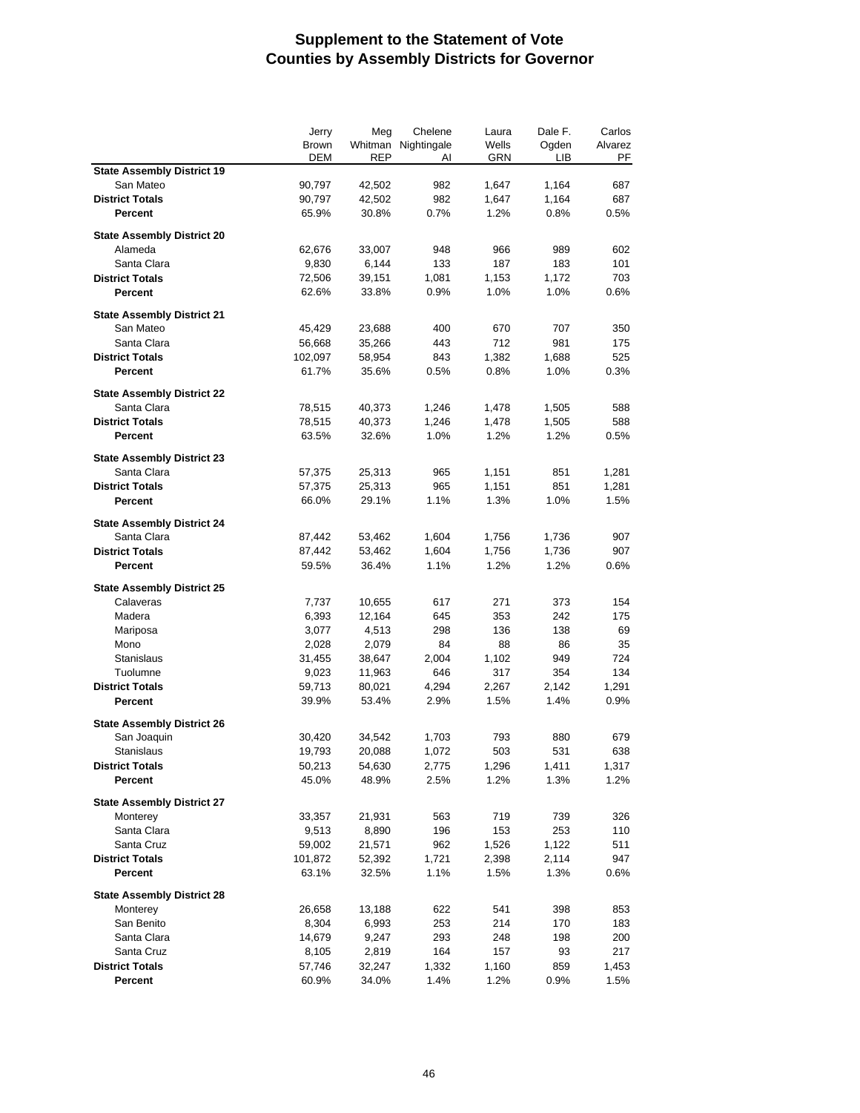|                                   | Jerry        | Meg        | Chelene     | Laura | Dale F. | Carlos     |
|-----------------------------------|--------------|------------|-------------|-------|---------|------------|
|                                   | <b>Brown</b> | Whitman    | Nightingale | Wells | Ogden   | Alvarez    |
|                                   | DEM          | <b>REP</b> | AI          | GRN   | LІВ     | PF         |
| <b>State Assembly District 19</b> |              |            |             |       |         |            |
| San Mateo                         | 90,797       | 42,502     | 982         | 1,647 | 1,164   | 687        |
| <b>District Totals</b>            | 90,797       | 42,502     | 982         | 1,647 | 1,164   | 687        |
| <b>Percent</b>                    | 65.9%        | 30.8%      | 0.7%        | 1.2%  | 0.8%    | 0.5%       |
|                                   |              |            |             |       |         |            |
| <b>State Assembly District 20</b> |              |            |             |       |         |            |
| Alameda                           | 62,676       | 33,007     | 948         | 966   | 989     | 602        |
| Santa Clara                       | 9,830        | 6,144      | 133         | 187   | 183     | 101        |
| <b>District Totals</b>            | 72,506       | 39,151     | 1,081       | 1,153 | 1,172   | 703        |
| Percent                           | 62.6%        | 33.8%      | 0.9%        | 1.0%  | 1.0%    | 0.6%       |
|                                   |              |            |             |       |         |            |
| <b>State Assembly District 21</b> |              |            |             |       |         |            |
| San Mateo                         | 45,429       | 23,688     | 400         | 670   | 707     | 350        |
| Santa Clara                       | 56,668       | 35,266     | 443         | 712   | 981     | 175        |
| <b>District Totals</b>            | 102,097      | 58,954     | 843         | 1,382 | 1,688   | 525        |
| <b>Percent</b>                    | 61.7%        | 35.6%      | 0.5%        | 0.8%  | 1.0%    | 0.3%       |
| <b>State Assembly District 22</b> |              |            |             |       |         |            |
| Santa Clara                       | 78,515       | 40,373     | 1,246       | 1,478 | 1,505   | 588        |
| <b>District Totals</b>            | 78,515       |            | 1,246       | 1,478 | 1,505   | 588        |
|                                   |              | 40,373     |             |       |         |            |
| Percent                           | 63.5%        | 32.6%      | 1.0%        | 1.2%  | 1.2%    | 0.5%       |
| <b>State Assembly District 23</b> |              |            |             |       |         |            |
| Santa Clara                       | 57,375       | 25,313     | 965         | 1,151 | 851     | 1,281      |
| <b>District Totals</b>            | 57,375       | 25,313     | 965         | 1,151 | 851     | 1,281      |
| Percent                           | 66.0%        | 29.1%      | 1.1%        | 1.3%  | 1.0%    | 1.5%       |
|                                   |              |            |             |       |         |            |
| <b>State Assembly District 24</b> |              |            |             |       |         |            |
| Santa Clara                       | 87,442       | 53,462     | 1,604       | 1,756 | 1,736   | 907        |
| <b>District Totals</b>            | 87,442       | 53,462     | 1,604       | 1,756 | 1,736   | 907        |
| Percent                           | 59.5%        | 36.4%      | 1.1%        | 1.2%  | 1.2%    | 0.6%       |
|                                   |              |            |             |       |         |            |
| <b>State Assembly District 25</b> |              |            |             |       |         |            |
| Calaveras                         | 7,737        | 10,655     | 617         | 271   | 373     | 154        |
| Madera                            | 6,393        | 12,164     | 645         | 353   | 242     | 175        |
| Mariposa                          | 3,077        | 4,513      | 298         | 136   | 138     | 69         |
| Mono                              | 2,028        | 2,079      | 84          | 88    | 86      | 35         |
| <b>Stanislaus</b>                 | 31,455       | 38,647     | 2,004       | 1,102 | 949     | 724        |
| Tuolumne                          | 9,023        | 11,963     | 646         | 317   | 354     | 134        |
| <b>District Totals</b>            | 59,713       | 80,021     | 4,294       | 2,267 | 2,142   | 1,291      |
| Percent                           | 39.9%        | 53.4%      | 2.9%        | 1.5%  | 1.4%    | 0.9%       |
|                                   |              |            |             |       |         |            |
| <b>State Assembly District 26</b> |              |            |             |       |         |            |
| San Joaquin                       | 30,420       | 34,542     | 1,703       | 793   | 880     | 679        |
| Stanislaus                        | 19,793       | 20,088     | 1,072       | 503   | 531     | 638        |
| <b>District Totals</b>            | 50,213       | 54,630     | 2,775       | 1,296 | 1,411   | 1,317      |
| Percent                           | 45.0%        | 48.9%      | 2.5%        | 1.2%  | 1.3%    | 1.2%       |
| <b>State Assembly District 27</b> |              |            |             |       |         |            |
| Monterey                          | 33,357       | 21,931     | 563         | 719   | 739     | 326        |
| Santa Clara                       |              |            | 196         | 153   | 253     |            |
|                                   | 9,513        | 8,890      |             |       |         | 110        |
| Santa Cruz                        | 59,002       | 21,571     | 962         | 1,526 | 1,122   | 511        |
| <b>District Totals</b>            | 101,872      | 52,392     | 1,721       | 2,398 | 2,114   | 947        |
| Percent                           | 63.1%        | 32.5%      | 1.1%        | 1.5%  | 1.3%    | 0.6%       |
| <b>State Assembly District 28</b> |              |            |             |       |         |            |
| Monterey                          | 26,658       | 13,188     | 622         | 541   | 398     | 853        |
| San Benito                        | 8,304        | 6,993      | 253         | 214   | 170     | 183        |
| Santa Clara                       |              |            | 293         |       |         |            |
| Santa Cruz                        | 14,679       | 9,247      | 164         | 248   | 198     | 200<br>217 |
|                                   | 8,105        | 2,819      |             | 157   | 93      |            |
| <b>District Totals</b>            | 57,746       | 32,247     | 1,332       | 1,160 | 859     | 1,453      |
| Percent                           | 60.9%        | 34.0%      | 1.4%        | 1.2%  | 0.9%    | 1.5%       |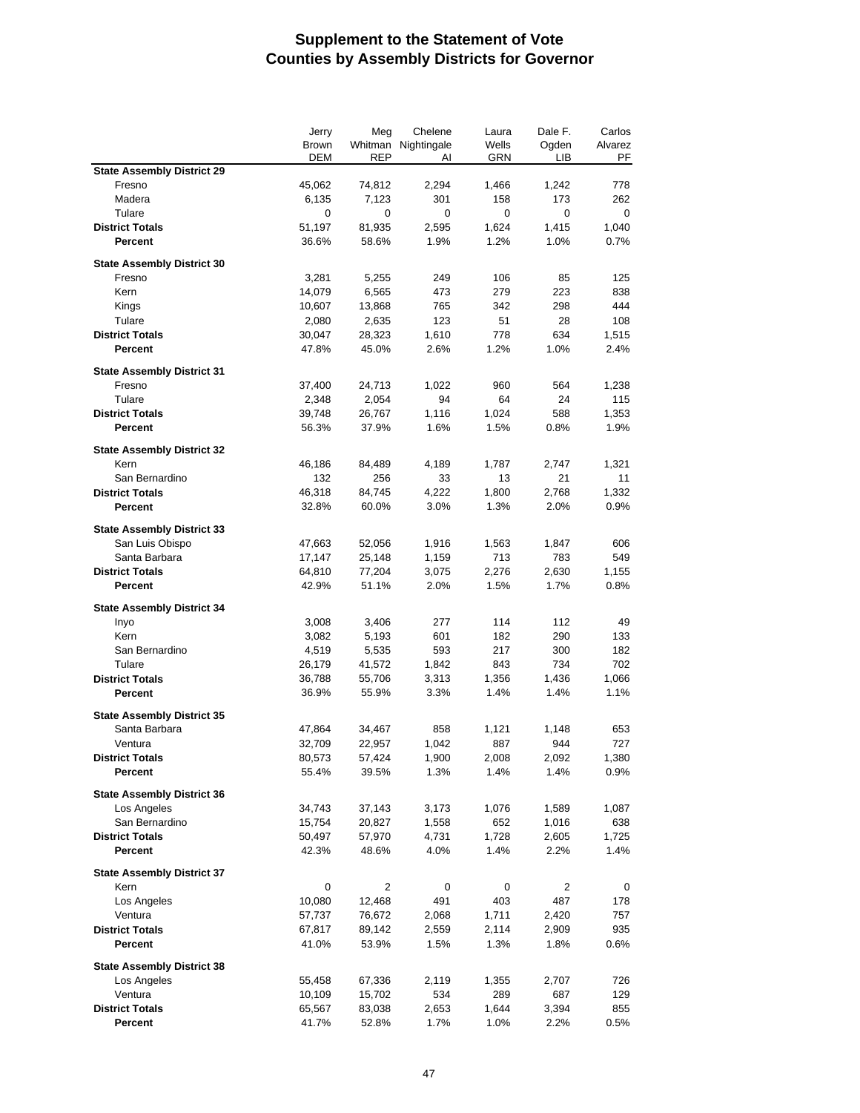|                                   | Jerry        | Meg    | Chelene             | Laura      | Dale F. | Carlos  |
|-----------------------------------|--------------|--------|---------------------|------------|---------|---------|
|                                   | <b>Brown</b> |        | Whitman Nightingale | Wells      | Ogden   | Alvarez |
|                                   | DEM          | REP    | AI                  | <b>GRN</b> | LІВ     | PF      |
| <b>State Assembly District 29</b> |              |        |                     |            |         |         |
| Fresno                            | 45,062       | 74,812 | 2,294               | 1,466      | 1,242   | 778     |
| Madera                            | 6,135        | 7,123  | 301                 | 158        | 173     | 262     |
| Tulare                            | 0            | 0      | 0                   | 0          | 0       | 0       |
| <b>District Totals</b>            | 51,197       | 81,935 | 2,595               | 1,624      | 1,415   | 1,040   |
| Percent                           | 36.6%        | 58.6%  | 1.9%                | 1.2%       | 1.0%    | 0.7%    |
| <b>State Assembly District 30</b> |              |        |                     |            |         |         |
| Fresno                            | 3,281        | 5,255  | 249                 | 106        | 85      | 125     |
| Kern                              | 14,079       | 6,565  | 473                 | 279        | 223     | 838     |
| Kings                             | 10,607       | 13,868 | 765                 | 342        | 298     | 444     |
| Tulare                            | 2,080        | 2,635  | 123                 | 51         | 28      | 108     |
| <b>District Totals</b>            | 30,047       | 28,323 | 1,610               | 778        | 634     | 1,515   |
| <b>Percent</b>                    | 47.8%        | 45.0%  | 2.6%                | 1.2%       | 1.0%    | 2.4%    |
|                                   |              |        |                     |            |         |         |
| <b>State Assembly District 31</b> |              |        |                     |            |         |         |
| Fresno                            | 37,400       | 24,713 | 1,022               | 960        | 564     | 1,238   |
| Tulare                            | 2,348        | 2,054  | 94                  | 64         | 24      | 115     |
| <b>District Totals</b>            | 39,748       | 26,767 | 1,116               | 1,024      | 588     | 1,353   |
| Percent                           | 56.3%        | 37.9%  | 1.6%                | 1.5%       | 0.8%    | 1.9%    |
|                                   |              |        |                     |            |         |         |
| <b>State Assembly District 32</b> |              |        |                     |            |         |         |
| Kern                              | 46,186       | 84,489 | 4,189               | 1,787      | 2,747   | 1,321   |
| San Bernardino                    | 132          | 256    | 33                  | 13         | 21      | 11      |
| <b>District Totals</b>            | 46,318       | 84,745 | 4,222               | 1,800      | 2,768   | 1,332   |
| <b>Percent</b>                    | 32.8%        | 60.0%  | 3.0%                | 1.3%       | 2.0%    | 0.9%    |
|                                   |              |        |                     |            |         |         |
| <b>State Assembly District 33</b> |              |        |                     |            |         |         |
| San Luis Obispo                   | 47,663       | 52,056 | 1,916               | 1,563      | 1,847   | 606     |
| Santa Barbara                     | 17,147       | 25,148 | 1,159               | 713        | 783     | 549     |
| <b>District Totals</b>            | 64,810       | 77,204 | 3,075               | 2,276      | 2,630   | 1,155   |
| Percent                           | 42.9%        | 51.1%  | 2.0%                | 1.5%       | 1.7%    | 0.8%    |
| <b>State Assembly District 34</b> |              |        |                     |            |         |         |
| Inyo                              | 3,008        | 3,406  | 277                 | 114        | 112     | 49      |
| Kern                              | 3,082        | 5,193  | 601                 | 182        | 290     | 133     |
| San Bernardino                    | 4,519        | 5,535  | 593                 | 217        | 300     | 182     |
| Tulare                            | 26,179       | 41,572 | 1,842               | 843        | 734     | 702     |
| <b>District Totals</b>            | 36,788       | 55,706 | 3,313               | 1,356      | 1,436   | 1,066   |
| <b>Percent</b>                    | 36.9%        | 55.9%  | 3.3%                | 1.4%       | 1.4%    | 1.1%    |
|                                   |              |        |                     |            |         |         |
| <b>State Assembly District 35</b> |              |        |                     |            |         |         |
| Santa Barbara                     | 47,864       | 34,467 | 858                 | 1,121      | 1,148   | 653     |
| Ventura                           | 32,709       | 22,957 | 1,042               | 887        | 944     | 727     |
| <b>District Totals</b>            | 80,573       | 57,424 | 1,900               | 2,008      | 2,092   | 1,380   |
| Percent                           | 55.4%        | 39.5%  | 1.3%                | 1.4%       | 1.4%    | 0.9%    |
|                                   |              |        |                     |            |         |         |
| <b>State Assembly District 36</b> |              |        |                     |            |         |         |
| Los Angeles                       | 34,743       | 37,143 | 3,173               | 1,076      | 1,589   | 1,087   |
| San Bernardino                    | 15,754       | 20,827 | 1,558               | 652        | 1,016   | 638     |
| <b>District Totals</b>            | 50,497       | 57,970 | 4,731               | 1,728      | 2,605   | 1,725   |
| Percent                           | 42.3%        | 48.6%  | 4.0%                | 1.4%       | 2.2%    | 1.4%    |
|                                   |              |        |                     |            |         |         |
| <b>State Assembly District 37</b> |              |        |                     |            |         |         |
| Kern                              | 0            | 2      | 0                   | 0          | 2       | 0       |
| Los Angeles                       | 10,080       | 12,468 | 491                 | 403        | 487     | 178     |
| Ventura                           | 57,737       | 76,672 | 2,068               | 1,711      | 2,420   | 757     |
| <b>District Totals</b>            | 67,817       | 89,142 | 2,559               | 2,114      | 2,909   | 935     |
| Percent                           | 41.0%        | 53.9%  | 1.5%                | 1.3%       | 1.8%    | 0.6%    |
| <b>State Assembly District 38</b> |              |        |                     |            |         |         |
| Los Angeles                       | 55,458       | 67,336 | 2,119               | 1,355      | 2,707   | 726     |
| Ventura                           | 10,109       | 15,702 | 534                 | 289        | 687     | 129     |
| <b>District Totals</b>            | 65,567       | 83,038 | 2,653               | 1,644      | 3,394   | 855     |
| Percent                           | 41.7%        | 52.8%  | 1.7%                | 1.0%       | 2.2%    | 0.5%    |
|                                   |              |        |                     |            |         |         |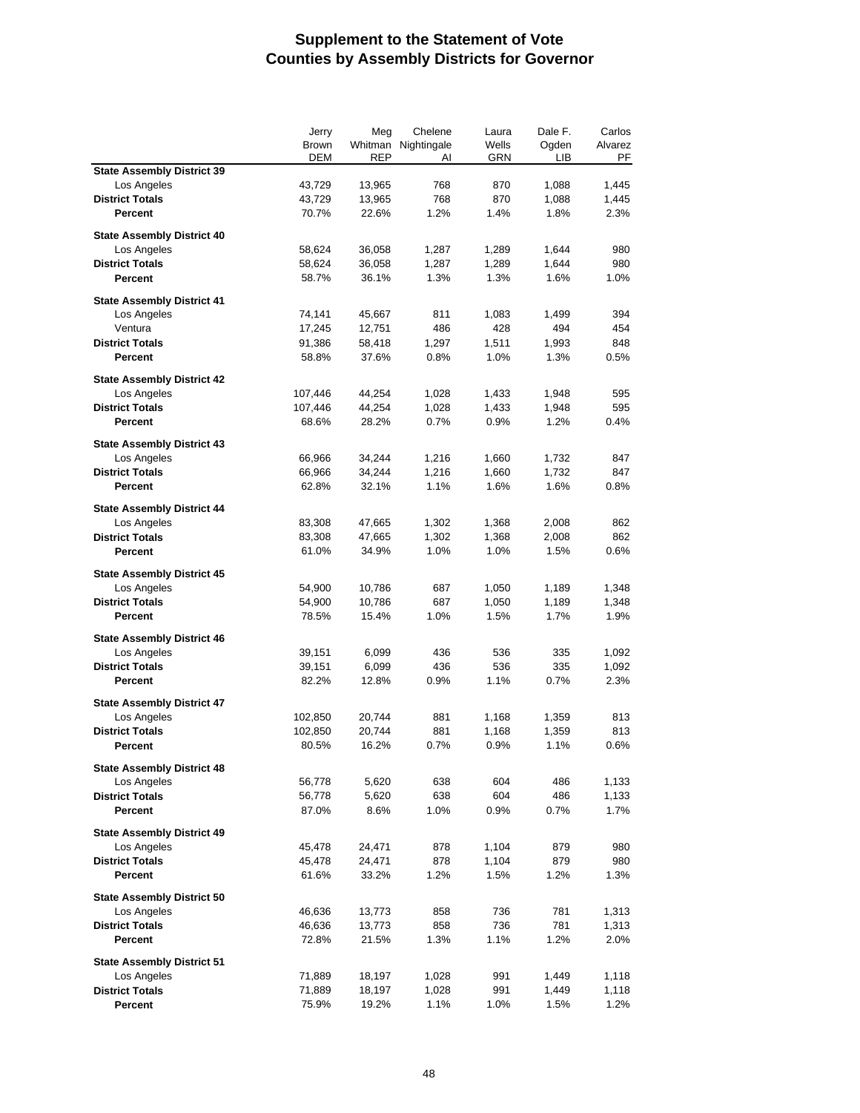|                                   | Jerry        | Meg        | Chelene             | Laura | Dale F. | Carlos  |
|-----------------------------------|--------------|------------|---------------------|-------|---------|---------|
|                                   | <b>Brown</b> |            | Whitman Nightingale | Wells | Ogden   | Alvarez |
|                                   | <b>DEM</b>   | <b>REP</b> | AI                  | GRN   | LІВ     | PF      |
| <b>State Assembly District 39</b> |              |            |                     |       |         |         |
| Los Angeles                       | 43,729       | 13,965     | 768                 | 870   | 1,088   | 1,445   |
| <b>District Totals</b>            | 43,729       | 13,965     | 768                 | 870   | 1,088   | 1,445   |
| Percent                           | 70.7%        | 22.6%      | 1.2%                | 1.4%  | 1.8%    | 2.3%    |
|                                   |              |            |                     |       |         |         |
| <b>State Assembly District 40</b> |              |            |                     |       |         |         |
| Los Angeles                       | 58,624       | 36,058     | 1,287               | 1,289 | 1,644   | 980     |
| <b>District Totals</b>            | 58,624       | 36,058     | 1,287               | 1,289 | 1,644   | 980     |
| Percent                           | 58.7%        | 36.1%      | 1.3%                | 1.3%  | 1.6%    | 1.0%    |
| <b>State Assembly District 41</b> |              |            |                     |       |         |         |
| Los Angeles                       | 74,141       | 45,667     | 811                 | 1,083 | 1,499   | 394     |
| Ventura                           | 17,245       | 12,751     | 486                 | 428   | 494     | 454     |
| <b>District Totals</b>            | 91,386       | 58,418     | 1,297               | 1,511 | 1,993   | 848     |
| Percent                           |              |            |                     |       |         | 0.5%    |
|                                   | 58.8%        | 37.6%      | 0.8%                | 1.0%  | 1.3%    |         |
| <b>State Assembly District 42</b> |              |            |                     |       |         |         |
| Los Angeles                       | 107,446      | 44,254     | 1,028               | 1,433 | 1,948   | 595     |
| <b>District Totals</b>            | 107,446      | 44,254     | 1,028               | 1,433 | 1,948   | 595     |
| Percent                           | 68.6%        | 28.2%      | 0.7%                | 0.9%  | 1.2%    | 0.4%    |
|                                   |              |            |                     |       |         |         |
| <b>State Assembly District 43</b> |              |            |                     |       |         |         |
| Los Angeles                       | 66,966       | 34,244     | 1,216               | 1,660 | 1,732   | 847     |
| <b>District Totals</b>            | 66,966       | 34,244     | 1,216               | 1,660 | 1,732   | 847     |
| Percent                           | 62.8%        | 32.1%      | 1.1%                | 1.6%  | 1.6%    | 0.8%    |
|                                   |              |            |                     |       |         |         |
| <b>State Assembly District 44</b> |              |            |                     |       |         |         |
| Los Angeles                       | 83,308       | 47,665     | 1,302               | 1,368 | 2,008   | 862     |
| <b>District Totals</b>            | 83,308       | 47,665     | 1,302               | 1,368 | 2,008   | 862     |
| Percent                           | 61.0%        | 34.9%      | 1.0%                | 1.0%  | 1.5%    | 0.6%    |
| <b>State Assembly District 45</b> |              |            |                     |       |         |         |
| Los Angeles                       | 54,900       | 10,786     | 687                 | 1,050 | 1,189   | 1,348   |
| <b>District Totals</b>            | 54,900       | 10,786     | 687                 | 1,050 | 1,189   | 1,348   |
| Percent                           | 78.5%        | 15.4%      | 1.0%                | 1.5%  | 1.7%    | 1.9%    |
|                                   |              |            |                     |       |         |         |
| <b>State Assembly District 46</b> |              |            |                     |       |         |         |
| Los Angeles                       | 39,151       | 6,099      | 436                 | 536   | 335     | 1,092   |
| <b>District Totals</b>            | 39,151       | 6,099      | 436                 | 536   | 335     | 1,092   |
| Percent                           | 82.2%        | 12.8%      | 0.9%                | 1.1%  | 0.7%    | 2.3%    |
|                                   |              |            |                     |       |         |         |
| <b>State Assembly District 47</b> |              |            |                     |       |         |         |
| Los Angeles                       | 102,850      | 20,744     | 881                 | 1,168 | 1,359   | 813     |
| <b>District Totals</b>            | 102,850      | 20,744     | 881                 | 1,168 | 1,359   | 813     |
| <b>Percent</b>                    | 80.5%        | 16.2%      | 0.7%                | 0.9%  | 1.1%    | 0.6%    |
| <b>State Assembly District 48</b> |              |            |                     |       |         |         |
| Los Angeles                       | 56,778       | 5,620      | 638                 | 604   | 486     | 1,133   |
| <b>District Totals</b>            | 56,778       | 5,620      | 638                 | 604   | 486     | 1,133   |
| Percent                           | 87.0%        | 8.6%       | 1.0%                | 0.9%  | 0.7%    | 1.7%    |
|                                   |              |            |                     |       |         |         |
| <b>State Assembly District 49</b> |              |            |                     |       |         |         |
| Los Angeles                       | 45,478       | 24,471     | 878                 | 1,104 | 879     | 980     |
| <b>District Totals</b>            | 45,478       | 24,471     | 878                 | 1,104 | 879     | 980     |
| Percent                           | 61.6%        | 33.2%      | 1.2%                | 1.5%  | 1.2%    | 1.3%    |
|                                   |              |            |                     |       |         |         |
| <b>State Assembly District 50</b> |              |            |                     |       |         |         |
| Los Angeles                       | 46,636       | 13,773     | 858                 | 736   | 781     | 1,313   |
| <b>District Totals</b>            | 46,636       | 13,773     | 858                 | 736   | 781     | 1,313   |
| Percent                           | 72.8%        | 21.5%      | 1.3%                | 1.1%  | 1.2%    | 2.0%    |
|                                   |              |            |                     |       |         |         |
| <b>State Assembly District 51</b> |              |            |                     |       |         |         |
| Los Angeles                       | 71,889       | 18,197     | 1,028               | 991   | 1,449   | 1,118   |
| <b>District Totals</b>            | 71,889       | 18,197     | 1,028               | 991   | 1,449   | 1,118   |
| Percent                           | 75.9%        | 19.2%      | 1.1%                | 1.0%  | 1.5%    | 1.2%    |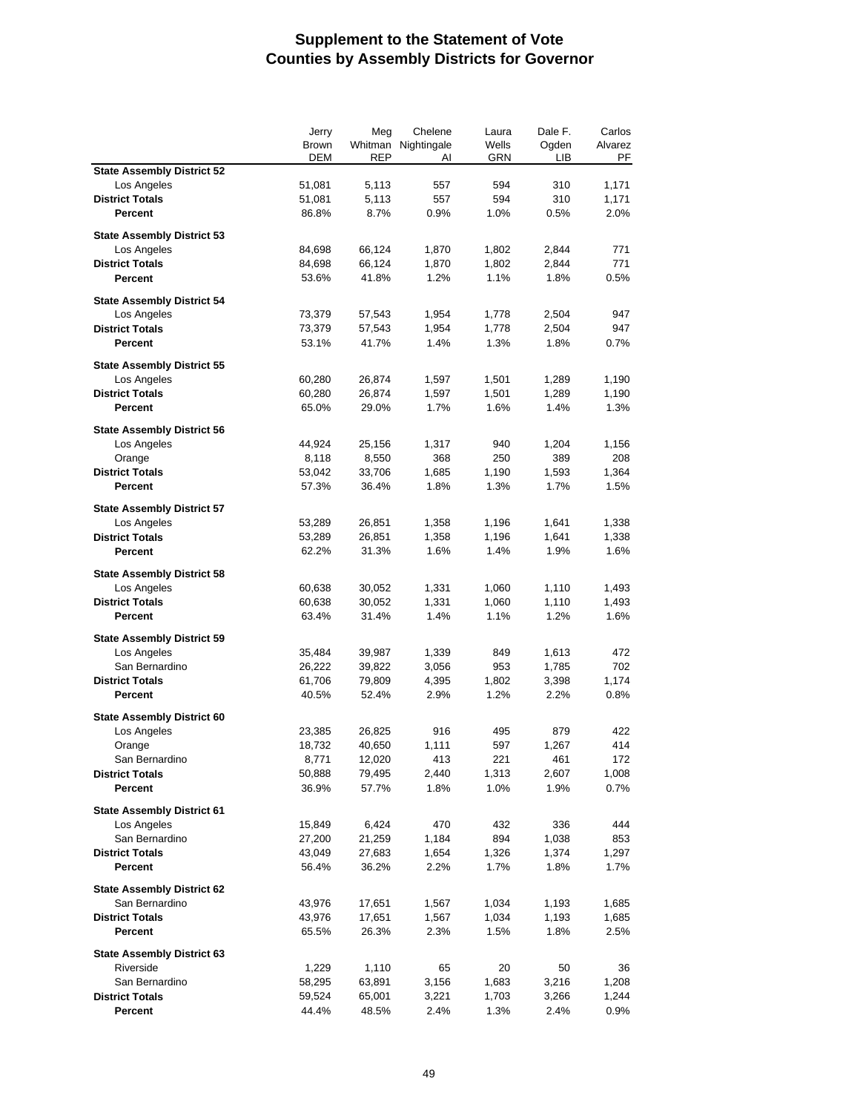|                                   | Jerry      | Meg        | Chelene             | Laura | Dale F. | Carlos  |
|-----------------------------------|------------|------------|---------------------|-------|---------|---------|
|                                   | Brown      |            | Whitman Nightingale | Wells | Ogden   | Alvarez |
|                                   | <b>DEM</b> | <b>REP</b> | AI                  | GRN   | LІВ     | PF      |
| <b>State Assembly District 52</b> |            |            |                     |       |         |         |
| Los Angeles                       | 51,081     | 5,113      | 557                 | 594   | 310     | 1,171   |
| <b>District Totals</b>            | 51,081     | 5,113      | 557                 | 594   | 310     | 1,171   |
| Percent                           | 86.8%      | 8.7%       | 0.9%                | 1.0%  | 0.5%    | 2.0%    |
|                                   |            |            |                     |       |         |         |
| <b>State Assembly District 53</b> |            |            |                     |       |         |         |
| Los Angeles                       | 84,698     | 66,124     | 1,870               | 1,802 | 2,844   | 771     |
| <b>District Totals</b>            | 84,698     | 66,124     | 1,870               | 1,802 | 2,844   | 771     |
| Percent                           | 53.6%      | 41.8%      | 1.2%                | 1.1%  | 1.8%    | 0.5%    |
| <b>State Assembly District 54</b> |            |            |                     |       |         |         |
| Los Angeles                       | 73,379     | 57,543     | 1,954               | 1,778 | 2,504   | 947     |
| <b>District Totals</b>            | 73,379     | 57,543     | 1,954               | 1,778 | 2,504   | 947     |
|                                   |            |            |                     |       |         |         |
| Percent                           | 53.1%      | 41.7%      | 1.4%                | 1.3%  | 1.8%    | 0.7%    |
| <b>State Assembly District 55</b> |            |            |                     |       |         |         |
| Los Angeles                       | 60,280     | 26,874     | 1,597               | 1,501 | 1,289   | 1,190   |
| <b>District Totals</b>            | 60,280     | 26,874     | 1,597               | 1,501 | 1,289   | 1,190   |
| Percent                           | 65.0%      | 29.0%      | 1.7%                | 1.6%  | 1.4%    | 1.3%    |
|                                   |            |            |                     |       |         |         |
| <b>State Assembly District 56</b> |            |            |                     |       |         |         |
| Los Angeles                       | 44,924     | 25,156     | 1,317               | 940   | 1,204   | 1,156   |
| Orange                            | 8,118      | 8,550      | 368                 | 250   | 389     | 208     |
| <b>District Totals</b>            | 53,042     | 33,706     | 1,685               | 1,190 | 1,593   | 1,364   |
| <b>Percent</b>                    | 57.3%      | 36.4%      | 1.8%                | 1.3%  | 1.7%    | 1.5%    |
|                                   |            |            |                     |       |         |         |
| <b>State Assembly District 57</b> |            |            |                     |       |         |         |
| Los Angeles                       | 53,289     | 26,851     | 1,358               | 1,196 | 1,641   | 1,338   |
| <b>District Totals</b>            | 53,289     | 26,851     | 1,358               | 1,196 | 1,641   | 1,338   |
| Percent                           | 62.2%      | 31.3%      | 1.6%                | 1.4%  | 1.9%    | 1.6%    |
|                                   |            |            |                     |       |         |         |
| <b>State Assembly District 58</b> |            |            |                     |       |         |         |
| Los Angeles                       | 60,638     | 30,052     | 1,331               | 1,060 | 1,110   | 1,493   |
| <b>District Totals</b>            | 60,638     | 30,052     | 1,331               | 1,060 | 1,110   | 1,493   |
| Percent                           | 63.4%      | 31.4%      | 1.4%                | 1.1%  | 1.2%    | 1.6%    |
| <b>State Assembly District 59</b> |            |            |                     |       |         |         |
| Los Angeles                       | 35,484     | 39,987     | 1,339               | 849   | 1,613   | 472     |
| San Bernardino                    | 26,222     | 39,822     | 3,056               | 953   | 1,785   | 702     |
| <b>District Totals</b>            | 61,706     | 79,809     | 4,395               | 1,802 | 3,398   | 1,174   |
| Percent                           | 40.5%      | 52.4%      | 2.9%                | 1.2%  | 2.2%    | 0.8%    |
|                                   |            |            |                     |       |         |         |
| <b>State Assembly District 60</b> |            |            |                     |       |         |         |
| Los Angeles                       | 23,385     | 26,825     | 916                 | 495   | 879     | 422     |
| Orange                            | 18,732     | 40,650     | 1,111               | 597   | 1,267   | 414     |
| San Bernardino                    | 8,771      | 12,020     | 413                 | 221   | 461     | 172     |
| <b>District Totals</b>            | 50,888     | 79,495     | 2,440               | 1,313 | 2,607   | 1,008   |
| Percent                           | 36.9%      | 57.7%      | 1.8%                | 1.0%  | 1.9%    | 0.7%    |
|                                   |            |            |                     |       |         |         |
| <b>State Assembly District 61</b> |            |            |                     |       |         |         |
| Los Angeles                       | 15,849     | 6,424      | 470                 | 432   | 336     | 444     |
| San Bernardino                    | 27,200     | 21,259     | 1,184               | 894   | 1,038   | 853     |
| <b>District Totals</b>            | 43,049     | 27,683     | 1,654               | 1,326 | 1,374   | 1,297   |
| Percent                           | 56.4%      | 36.2%      | 2.2%                | 1.7%  | 1.8%    | 1.7%    |
|                                   |            |            |                     |       |         |         |
| <b>State Assembly District 62</b> |            |            |                     |       |         |         |
| San Bernardino                    | 43,976     | 17,651     | 1,567               | 1,034 | 1,193   | 1,685   |
| <b>District Totals</b>            | 43,976     | 17,651     | 1,567               | 1,034 | 1,193   | 1,685   |
| Percent                           | 65.5%      | 26.3%      | 2.3%                | 1.5%  | 1.8%    | 2.5%    |
|                                   |            |            |                     |       |         |         |
| <b>State Assembly District 63</b> |            |            |                     |       |         |         |
| Riverside                         | 1,229      | 1,110      | 65                  | 20    | 50      | 36      |
| San Bernardino                    | 58,295     | 63,891     | 3,156               | 1,683 | 3,216   | 1,208   |
| <b>District Totals</b>            | 59,524     | 65,001     | 3,221               | 1,703 | 3,266   | 1,244   |
| Percent                           | 44.4%      | 48.5%      | 2.4%                | 1.3%  | 2.4%    | 0.9%    |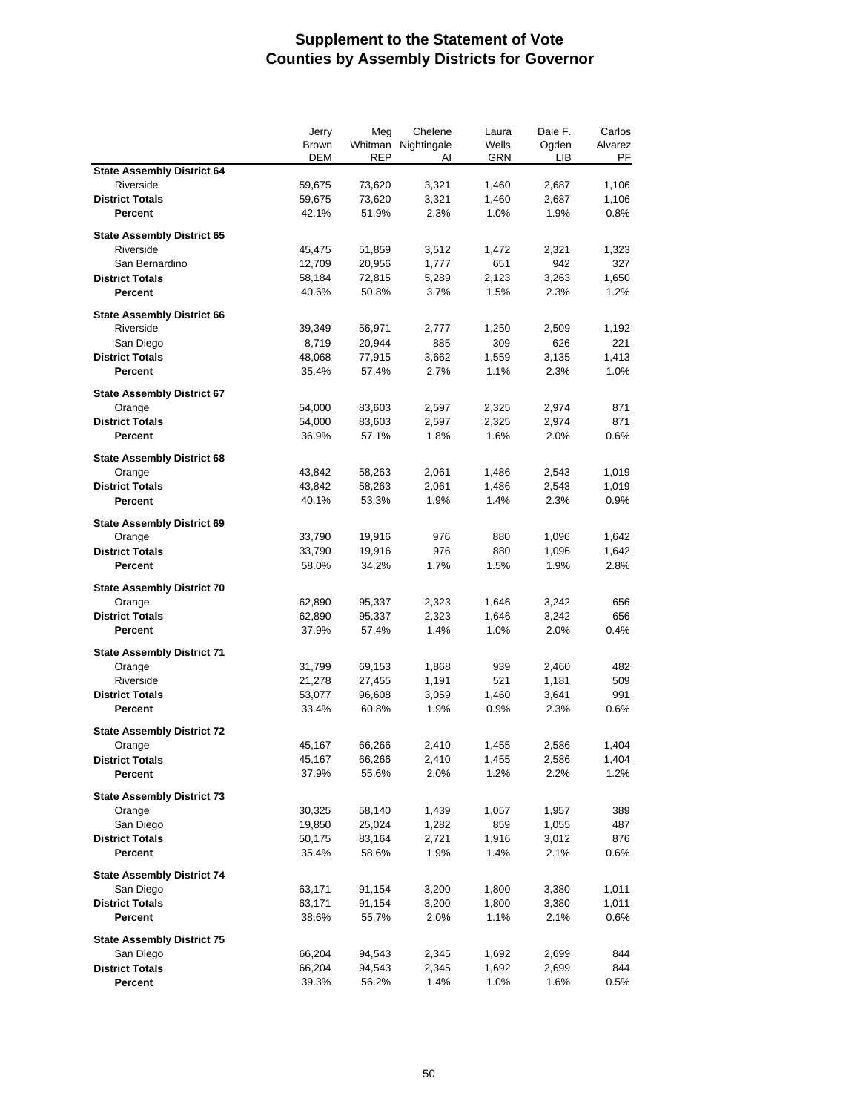|                                   | Jerry      | Meg<br>Chelene | Laura               | Dale F. | Carlos |         |
|-----------------------------------|------------|----------------|---------------------|---------|--------|---------|
|                                   | Brown      |                | Whitman Nightingale | Wells   | Ogden  | Alvarez |
|                                   | <b>DEM</b> | <b>REP</b>     | AI                  | GRN     | LІВ    | PF      |
| <b>State Assembly District 64</b> |            |                |                     |         |        |         |
| Riverside                         | 59,675     | 73,620         | 3,321               | 1,460   | 2,687  | 1,106   |
| <b>District Totals</b>            | 59,675     | 73,620         | 3,321               | 1,460   | 2,687  | 1,106   |
| Percent                           | 42.1%      | 51.9%          | 2.3%                | 1.0%    | 1.9%   | 0.8%    |
|                                   |            |                |                     |         |        |         |
| <b>State Assembly District 65</b> |            |                |                     |         |        |         |
| Riverside                         | 45,475     | 51,859         | 3,512               | 1,472   | 2,321  | 1,323   |
| San Bernardino                    | 12,709     | 20,956         | 1,777               | 651     | 942    | 327     |
| <b>District Totals</b>            | 58,184     | 72,815         | 5,289               | 2,123   | 3,263  | 1,650   |
| Percent                           | 40.6%      | 50.8%          | 3.7%                | 1.5%    | 2.3%   | 1.2%    |
| <b>State Assembly District 66</b> |            |                |                     |         |        |         |
| Riverside                         |            |                | 2,777               |         |        |         |
|                                   | 39,349     | 56,971         |                     | 1,250   | 2,509  | 1,192   |
| San Diego                         | 8,719      | 20,944         | 885                 | 309     | 626    | 221     |
| <b>District Totals</b>            | 48,068     | 77,915         | 3,662               | 1,559   | 3,135  | 1,413   |
| <b>Percent</b>                    | 35.4%      | 57.4%          | 2.7%                | 1.1%    | 2.3%   | 1.0%    |
| <b>State Assembly District 67</b> |            |                |                     |         |        |         |
| Orange                            | 54,000     | 83,603         | 2,597               | 2,325   | 2,974  | 871     |
| <b>District Totals</b>            | 54,000     | 83,603         | 2,597               | 2,325   | 2,974  | 871     |
| <b>Percent</b>                    | 36.9%      | 57.1%          | 1.8%                | 1.6%    | 2.0%   | 0.6%    |
|                                   |            |                |                     |         |        |         |
| <b>State Assembly District 68</b> |            |                |                     |         |        |         |
| Orange                            | 43,842     | 58,263         | 2,061               | 1,486   | 2,543  | 1,019   |
| <b>District Totals</b>            | 43,842     | 58,263         | 2,061               | 1,486   | 2,543  | 1,019   |
| Percent                           | 40.1%      | 53.3%          | 1.9%                | 1.4%    | 2.3%   | 0.9%    |
|                                   |            |                |                     |         |        |         |
| <b>State Assembly District 69</b> |            |                |                     |         |        |         |
| Orange                            | 33,790     | 19,916         | 976                 | 880     | 1,096  | 1,642   |
| <b>District Totals</b>            | 33,790     | 19,916         | 976                 | 880     | 1,096  | 1,642   |
| Percent                           | 58.0%      | 34.2%          | 1.7%                | 1.5%    | 1.9%   | 2.8%    |
|                                   |            |                |                     |         |        |         |
| <b>State Assembly District 70</b> |            |                |                     |         |        |         |
| Orange                            | 62,890     | 95,337         | 2,323               | 1,646   | 3,242  | 656     |
| <b>District Totals</b>            | 62,890     | 95,337         | 2,323               | 1,646   | 3,242  | 656     |
| <b>Percent</b>                    | 37.9%      | 57.4%          | 1.4%                | 1.0%    | 2.0%   | 0.4%    |
| <b>State Assembly District 71</b> |            |                |                     |         |        |         |
| Orange                            | 31,799     | 69,153         | 1,868               | 939     | 2,460  | 482     |
| Riverside                         |            |                |                     | 521     |        | 509     |
|                                   | 21,278     | 27,455         | 1,191               |         | 1,181  |         |
| <b>District Totals</b>            | 53,077     | 96,608         | 3,059               | 1,460   | 3,641  | 991     |
| Percent                           | 33.4%      | 60.8%          | 1.9%                | 0.9%    | 2.3%   | 0.6%    |
| <b>State Assembly District 72</b> |            |                |                     |         |        |         |
| Orange                            | 45,167     | 66,266         | 2,410               | 1,455   | 2,586  | 1,404   |
| <b>District Totals</b>            | 45,167     | 66,266         | 2,410               | 1,455   | 2,586  | 1,404   |
| Percent                           | 37.9%      | 55.6%          | 2.0%                | 1.2%    | 2.2%   | 1.2%    |
|                                   |            |                |                     |         |        |         |
| <b>State Assembly District 73</b> |            |                |                     |         |        |         |
| Orange                            | 30,325     | 58,140         | 1,439               | 1,057   | 1,957  | 389     |
| San Diego                         | 19,850     | 25,024         | 1,282               | 859     | 1,055  | 487     |
| <b>District Totals</b>            | 50,175     | 83,164         | 2,721               | 1,916   | 3,012  | 876     |
| Percent                           | 35.4%      | 58.6%          | 1.9%                | 1.4%    | 2.1%   | 0.6%    |
|                                   |            |                |                     |         |        |         |
| <b>State Assembly District 74</b> |            |                |                     |         |        |         |
| San Diego                         | 63,171     | 91,154         | 3,200               | 1,800   | 3,380  | 1,011   |
| <b>District Totals</b>            | 63,171     | 91,154         | 3,200               | 1,800   | 3,380  | 1,011   |
| Percent                           | 38.6%      | 55.7%          | 2.0%                | 1.1%    | 2.1%   | 0.6%    |
|                                   |            |                |                     |         |        |         |
| <b>State Assembly District 75</b> |            |                |                     |         |        |         |
| San Diego                         | 66,204     | 94,543         | 2,345               | 1,692   | 2,699  | 844     |
| <b>District Totals</b>            | 66,204     | 94,543         | 2,345               | 1,692   | 2,699  | 844     |
| Percent                           | 39.3%      | 56.2%          | 1.4%                | 1.0%    | 1.6%   | 0.5%    |